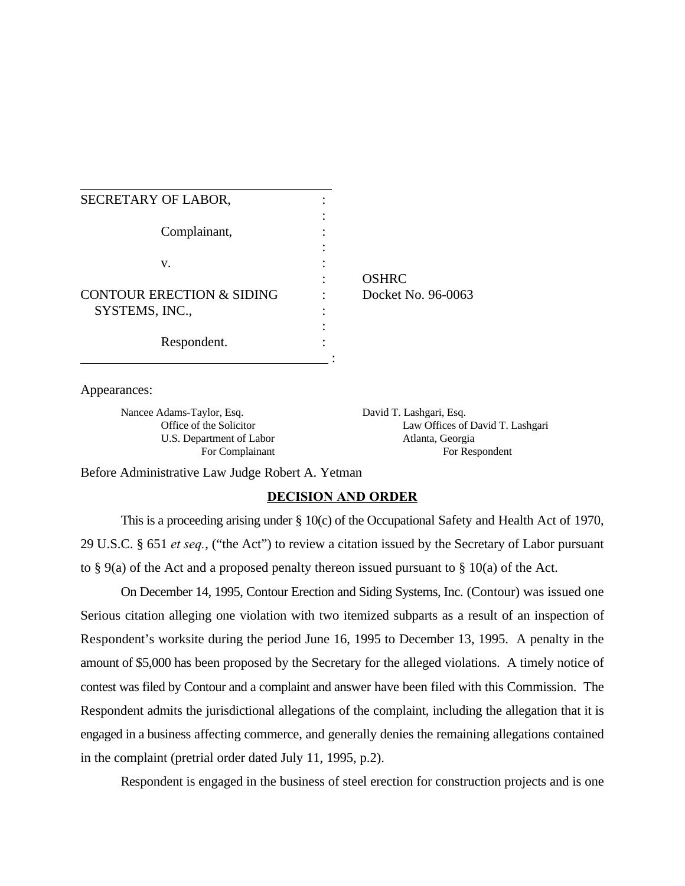: OSHRC Docket No. 96-0063

Appearances:

Nancee Adams-Taylor, Esq. David T. Lashgari, Esq. U.S. Department of Labor Atlanta, Georgia

Office of the Solicitor Law Offices of David T. Lashgari For Complainant For Respondent

Before Administrative Law Judge Robert A. Yetman

# **DECISION AND ORDER**

This is a proceeding arising under § 10(c) of the Occupational Safety and Health Act of 1970, 29 U.S.C. § 651 *et seq.*, ("the Act") to review a citation issued by the Secretary of Labor pursuant to  $\S$  9(a) of the Act and a proposed penalty thereon issued pursuant to  $\S$  10(a) of the Act.

On December 14, 1995, Contour Erection and Siding Systems, Inc. (Contour) was issued one Serious citation alleging one violation with two itemized subparts as a result of an inspection of Respondent's worksite during the period June 16, 1995 to December 13, 1995. A penalty in the amount of \$5,000 has been proposed by the Secretary for the alleged violations. A timely notice of contest was filed by Contour and a complaint and answer have been filed with this Commission. The Respondent admits the jurisdictional allegations of the complaint, including the allegation that it is engaged in a business affecting commerce, and generally denies the remaining allegations contained in the complaint (pretrial order dated July 11, 1995, p.2).

Respondent is engaged in the business of steel erection for construction projects and is one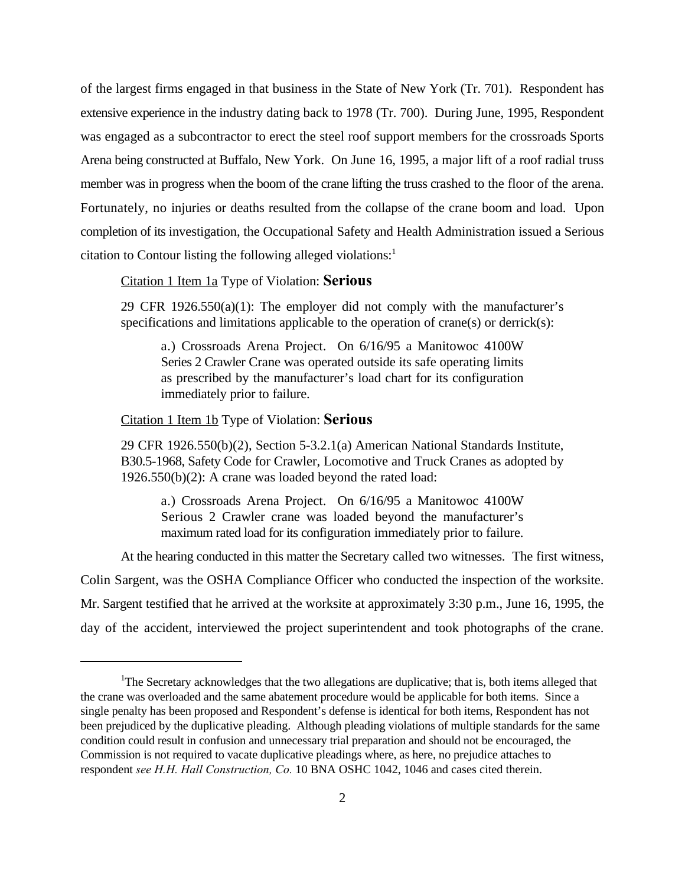of the largest firms engaged in that business in the State of New York (Tr. 701). Respondent has extensive experience in the industry dating back to 1978 (Tr. 700). During June, 1995, Respondent was engaged as a subcontractor to erect the steel roof support members for the crossroads Sports Arena being constructed at Buffalo, New York. On June 16, 1995, a major lift of a roof radial truss member was in progress when the boom of the crane lifting the truss crashed to the floor of the arena. Fortunately, no injuries or deaths resulted from the collapse of the crane boom and load. Upon completion of its investigation, the Occupational Safety and Health Administration issued a Serious citation to Contour listing the following alleged violations: $<sup>1</sup>$ </sup>

#### Citation 1 Item 1a Type of Violation: **Serious**

29 CFR 1926.550(a)(1): The employer did not comply with the manufacturer's specifications and limitations applicable to the operation of crane(s) or derrick(s):

a.) Crossroads Arena Project. On 6/16/95 a Manitowoc 4100W Series 2 Crawler Crane was operated outside its safe operating limits as prescribed by the manufacturer's load chart for its configuration immediately prior to failure.

### Citation 1 Item 1b Type of Violation: **Serious**

29 CFR 1926.550(b)(2), Section 5-3.2.1(a) American National Standards Institute, B30.5-1968, Safety Code for Crawler, Locomotive and Truck Cranes as adopted by 1926.550(b)(2): A crane was loaded beyond the rated load:

a.) Crossroads Arena Project. On 6/16/95 a Manitowoc 4100W Serious 2 Crawler crane was loaded beyond the manufacturer's maximum rated load for its configuration immediately prior to failure.

At the hearing conducted in this matter the Secretary called two witnesses. The first witness,

Colin Sargent, was the OSHA Compliance Officer who conducted the inspection of the worksite. Mr. Sargent testified that he arrived at the worksite at approximately 3:30 p.m., June 16, 1995, the day of the accident, interviewed the project superintendent and took photographs of the crane.

 ${}^{1}$ The Secretary acknowledges that the two allegations are duplicative; that is, both items alleged that the crane was overloaded and the same abatement procedure would be applicable for both items. Since a single penalty has been proposed and Respondent's defense is identical for both items, Respondent has not been prejudiced by the duplicative pleading. Although pleading violations of multiple standards for the same condition could result in confusion and unnecessary trial preparation and should not be encouraged, the Commission is not required to vacate duplicative pleadings where, as here, no prejudice attaches to respondent *see H.H. Hall Construction, Co.* 10 BNA OSHC 1042, 1046 and cases cited therein.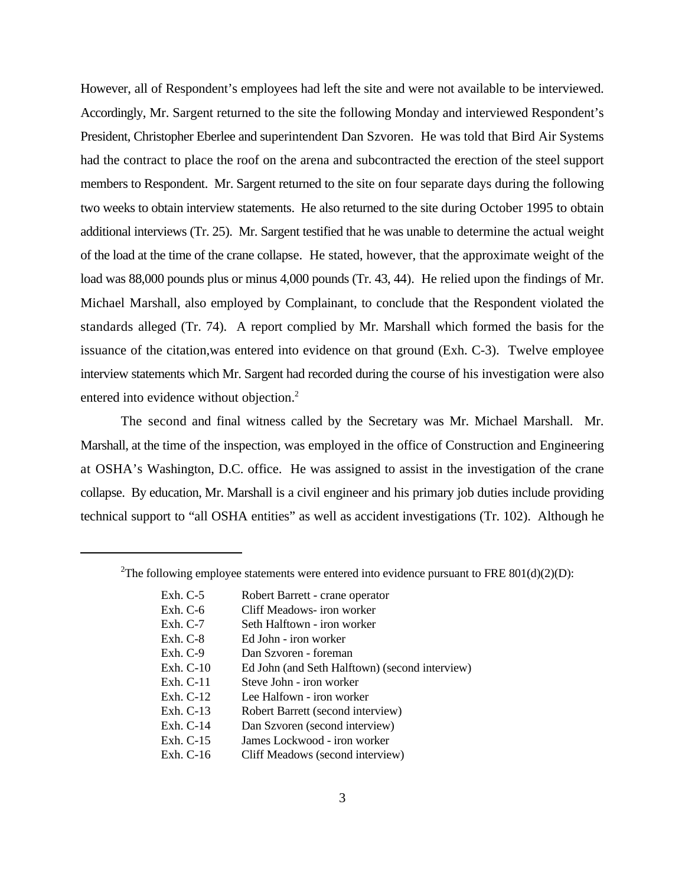However, all of Respondent's employees had left the site and were not available to be interviewed. Accordingly, Mr. Sargent returned to the site the following Monday and interviewed Respondent's President, Christopher Eberlee and superintendent Dan Szvoren. He was told that Bird Air Systems had the contract to place the roof on the arena and subcontracted the erection of the steel support members to Respondent. Mr. Sargent returned to the site on four separate days during the following two weeks to obtain interview statements. He also returned to the site during October 1995 to obtain additional interviews (Tr. 25). Mr. Sargent testified that he was unable to determine the actual weight of the load at the time of the crane collapse. He stated, however, that the approximate weight of the load was 88,000 pounds plus or minus 4,000 pounds (Tr. 43, 44). He relied upon the findings of Mr. Michael Marshall, also employed by Complainant, to conclude that the Respondent violated the standards alleged (Tr. 74). A report complied by Mr. Marshall which formed the basis for the issuance of the citation,was entered into evidence on that ground (Exh. C-3). Twelve employee interview statements which Mr. Sargent had recorded during the course of his investigation were also entered into evidence without objection.<sup>2</sup>

The second and final witness called by the Secretary was Mr. Michael Marshall. Mr. Marshall, at the time of the inspection, was employed in the office of Construction and Engineering at OSHA's Washington, D.C. office. He was assigned to assist in the investigation of the crane collapse. By education, Mr. Marshall is a civil engineer and his primary job duties include providing technical support to "all OSHA entities" as well as accident investigations (Tr. 102). Although he

<sup>&</sup>lt;sup>2</sup>The following employee statements were entered into evidence pursuant to FRE 801(d)(2)(D):

| Exh. $C-5$  | Robert Barrett - crane operator                |
|-------------|------------------------------------------------|
| Exh. $C-6$  | Cliff Meadows- iron worker                     |
| Exh. $C-7$  | Seth Halftown - iron worker                    |
| $Exh. C-8$  | Ed John - iron worker                          |
| Exh. $C-9$  | Dan Szvoren - foreman                          |
| Exh. $C-10$ | Ed John (and Seth Halftown) (second interview) |
| Exh. $C-11$ | Steve John - iron worker                       |
| Exh. $C-12$ | Lee Halfown - iron worker                      |
| Exh. $C-13$ | Robert Barrett (second interview)              |
| Exh. $C-14$ | Dan Szvoren (second interview)                 |
| Exh. $C-15$ | James Lockwood - iron worker                   |
| Exh. $C-16$ | Cliff Meadows (second interview)               |
|             |                                                |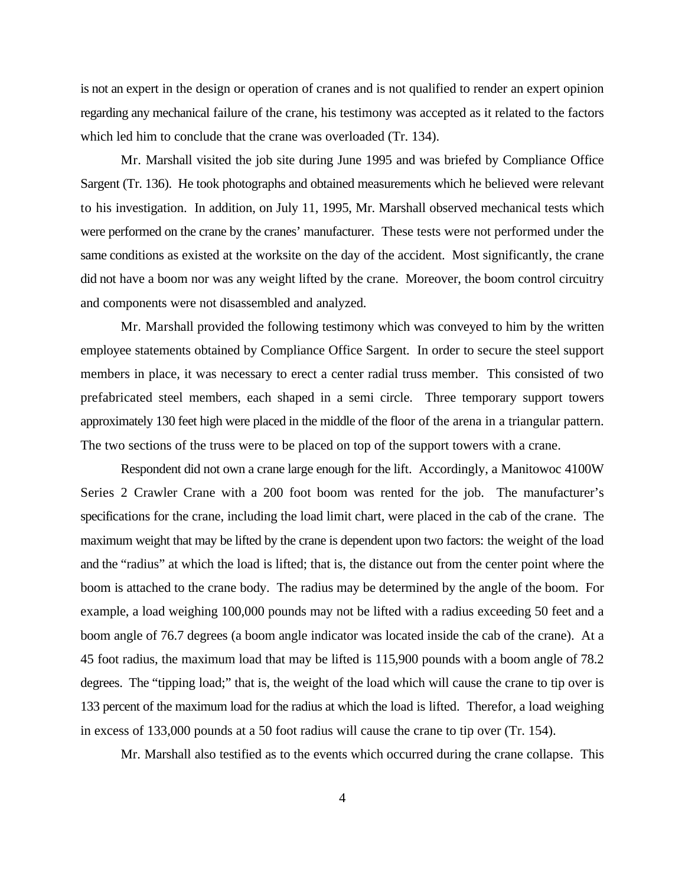is not an expert in the design or operation of cranes and is not qualified to render an expert opinion regarding any mechanical failure of the crane, his testimony was accepted as it related to the factors which led him to conclude that the crane was overloaded (Tr. 134).

Mr. Marshall visited the job site during June 1995 and was briefed by Compliance Office Sargent (Tr. 136). He took photographs and obtained measurements which he believed were relevant to his investigation. In addition, on July 11, 1995, Mr. Marshall observed mechanical tests which were performed on the crane by the cranes' manufacturer. These tests were not performed under the same conditions as existed at the worksite on the day of the accident. Most significantly, the crane did not have a boom nor was any weight lifted by the crane. Moreover, the boom control circuitry and components were not disassembled and analyzed.

Mr. Marshall provided the following testimony which was conveyed to him by the written employee statements obtained by Compliance Office Sargent. In order to secure the steel support members in place, it was necessary to erect a center radial truss member. This consisted of two prefabricated steel members, each shaped in a semi circle. Three temporary support towers approximately 130 feet high were placed in the middle of the floor of the arena in a triangular pattern. The two sections of the truss were to be placed on top of the support towers with a crane.

Respondent did not own a crane large enough for the lift. Accordingly, a Manitowoc 4100W Series 2 Crawler Crane with a 200 foot boom was rented for the job. The manufacturer's specifications for the crane, including the load limit chart, were placed in the cab of the crane. The maximum weight that may be lifted by the crane is dependent upon two factors: the weight of the load and the "radius" at which the load is lifted; that is, the distance out from the center point where the boom is attached to the crane body. The radius may be determined by the angle of the boom. For example, a load weighing 100,000 pounds may not be lifted with a radius exceeding 50 feet and a boom angle of 76.7 degrees (a boom angle indicator was located inside the cab of the crane). At a 45 foot radius, the maximum load that may be lifted is 115,900 pounds with a boom angle of 78.2 degrees. The "tipping load;" that is, the weight of the load which will cause the crane to tip over is 133 percent of the maximum load for the radius at which the load is lifted. Therefor, a load weighing in excess of 133,000 pounds at a 50 foot radius will cause the crane to tip over (Tr. 154).

Mr. Marshall also testified as to the events which occurred during the crane collapse. This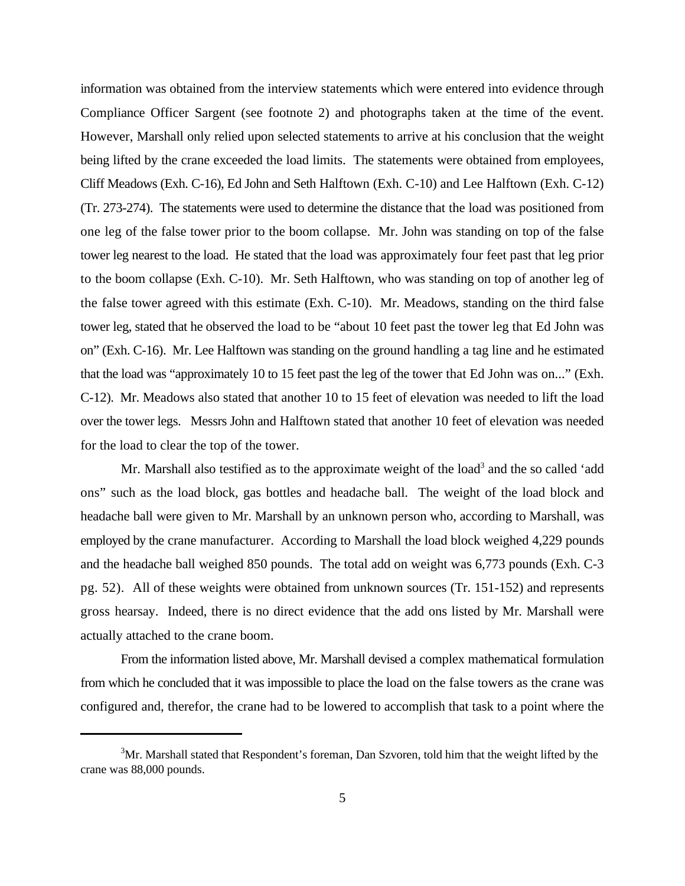information was obtained from the interview statements which were entered into evidence through Compliance Officer Sargent (see footnote 2) and photographs taken at the time of the event. However, Marshall only relied upon selected statements to arrive at his conclusion that the weight being lifted by the crane exceeded the load limits. The statements were obtained from employees, Cliff Meadows (Exh. C-16), Ed John and Seth Halftown (Exh. C-10) and Lee Halftown (Exh. C-12) (Tr. 273-274). The statements were used to determine the distance that the load was positioned from one leg of the false tower prior to the boom collapse. Mr. John was standing on top of the false tower leg nearest to the load. He stated that the load was approximately four feet past that leg prior to the boom collapse (Exh. C-10). Mr. Seth Halftown, who was standing on top of another leg of the false tower agreed with this estimate (Exh. C-10). Mr. Meadows, standing on the third false tower leg, stated that he observed the load to be "about 10 feet past the tower leg that Ed John was on" (Exh. C-16). Mr. Lee Halftown was standing on the ground handling a tag line and he estimated that the load was "approximately 10 to 15 feet past the leg of the tower that Ed John was on..." (Exh. C-12). Mr. Meadows also stated that another 10 to 15 feet of elevation was needed to lift the load over the tower legs. Messrs John and Halftown stated that another 10 feet of elevation was needed for the load to clear the top of the tower.

Mr. Marshall also testified as to the approximate weight of the load<sup>3</sup> and the so called 'add ons" such as the load block, gas bottles and headache ball. The weight of the load block and headache ball were given to Mr. Marshall by an unknown person who, according to Marshall, was employed by the crane manufacturer. According to Marshall the load block weighed 4,229 pounds and the headache ball weighed 850 pounds. The total add on weight was 6,773 pounds (Exh. C-3 pg. 52). All of these weights were obtained from unknown sources (Tr. 151-152) and represents gross hearsay. Indeed, there is no direct evidence that the add ons listed by Mr. Marshall were actually attached to the crane boom.

From the information listed above, Mr. Marshall devised a complex mathematical formulation from which he concluded that it was impossible to place the load on the false towers as the crane was configured and, therefor, the crane had to be lowered to accomplish that task to a point where the

 $3$ Mr. Marshall stated that Respondent's foreman, Dan Szvoren, told him that the weight lifted by the crane was 88,000 pounds.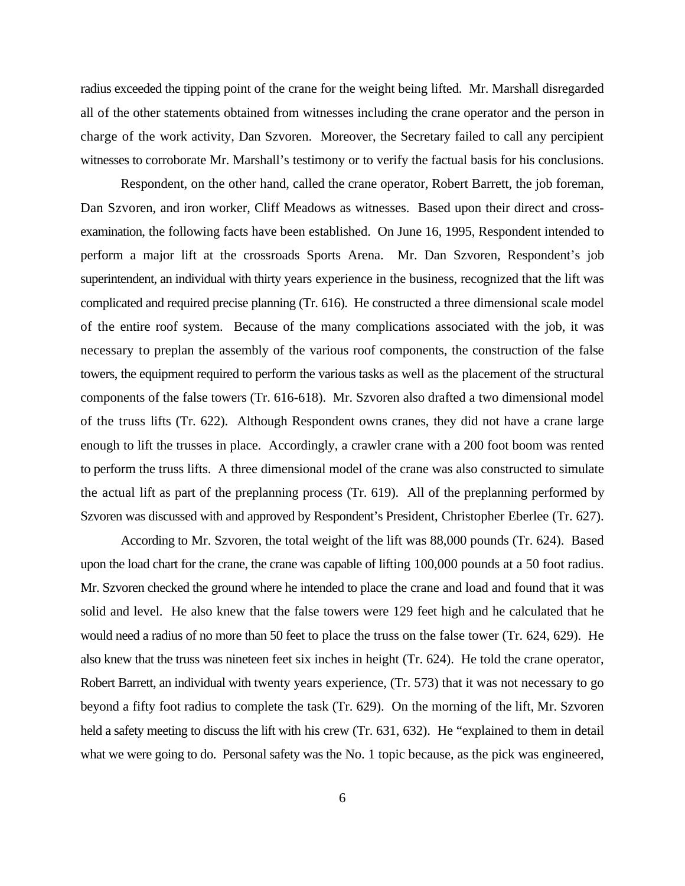radius exceeded the tipping point of the crane for the weight being lifted. Mr. Marshall disregarded all of the other statements obtained from witnesses including the crane operator and the person in charge of the work activity, Dan Szvoren. Moreover, the Secretary failed to call any percipient witnesses to corroborate Mr. Marshall's testimony or to verify the factual basis for his conclusions.

Respondent, on the other hand, called the crane operator, Robert Barrett, the job foreman, Dan Szvoren, and iron worker, Cliff Meadows as witnesses. Based upon their direct and crossexamination, the following facts have been established. On June 16, 1995, Respondent intended to perform a major lift at the crossroads Sports Arena. Mr. Dan Szvoren, Respondent's job superintendent, an individual with thirty years experience in the business, recognized that the lift was complicated and required precise planning (Tr. 616). He constructed a three dimensional scale model of the entire roof system. Because of the many complications associated with the job, it was necessary to preplan the assembly of the various roof components, the construction of the false towers, the equipment required to perform the various tasks as well as the placement of the structural components of the false towers (Tr. 616-618). Mr. Szvoren also drafted a two dimensional model of the truss lifts (Tr. 622). Although Respondent owns cranes, they did not have a crane large enough to lift the trusses in place. Accordingly, a crawler crane with a 200 foot boom was rented to perform the truss lifts. A three dimensional model of the crane was also constructed to simulate the actual lift as part of the preplanning process (Tr. 619). All of the preplanning performed by Szvoren was discussed with and approved by Respondent's President, Christopher Eberlee (Tr. 627).

According to Mr. Szvoren, the total weight of the lift was 88,000 pounds (Tr. 624). Based upon the load chart for the crane, the crane was capable of lifting 100,000 pounds at a 50 foot radius. Mr. Szvoren checked the ground where he intended to place the crane and load and found that it was solid and level. He also knew that the false towers were 129 feet high and he calculated that he would need a radius of no more than 50 feet to place the truss on the false tower (Tr. 624, 629). He also knew that the truss was nineteen feet six inches in height (Tr. 624). He told the crane operator, Robert Barrett, an individual with twenty years experience, (Tr. 573) that it was not necessary to go beyond a fifty foot radius to complete the task (Tr. 629). On the morning of the lift, Mr. Szvoren held a safety meeting to discuss the lift with his crew (Tr. 631, 632). He "explained to them in detail what we were going to do. Personal safety was the No. 1 topic because, as the pick was engineered,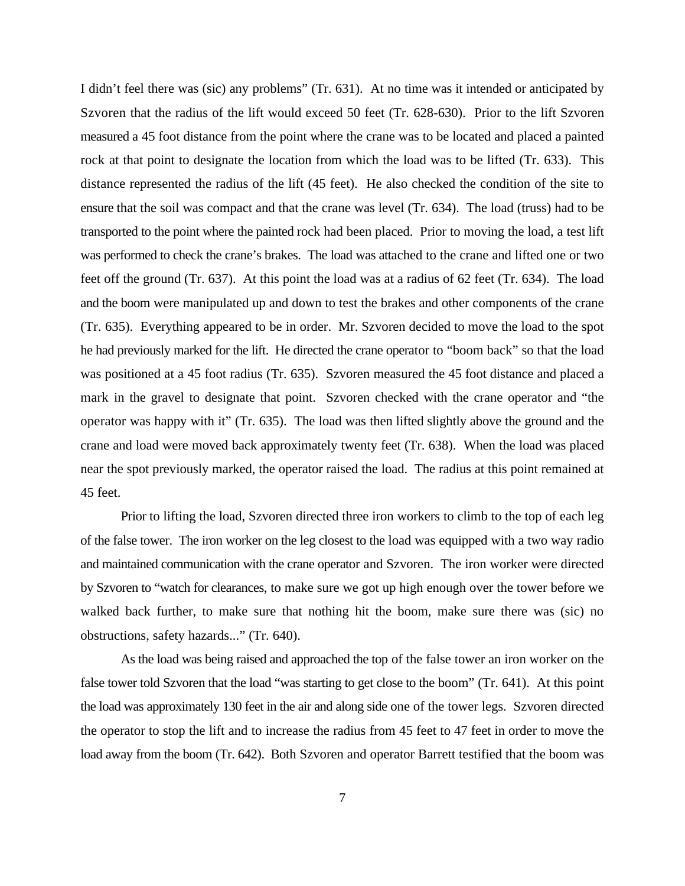I didn't feel there was (sic) any problems" (Tr. 631). At no time was it intended or anticipated by Szvoren that the radius of the lift would exceed 50 feet (Tr. 628-630). Prior to the lift Szvoren measured a 45 foot distance from the point where the crane was to be located and placed a painted rock at that point to designate the location from which the load was to be lifted (Tr. 633). This distance represented the radius of the lift (45 feet). He also checked the condition of the site to ensure that the soil was compact and that the crane was level (Tr. 634). The load (truss) had to be transported to the point where the painted rock had been placed. Prior to moving the load, a test lift was performed to check the crane's brakes. The load was attached to the crane and lifted one or two feet off the ground (Tr. 637). At this point the load was at a radius of 62 feet (Tr. 634). The load and the boom were manipulated up and down to test the brakes and other components of the crane (Tr. 635). Everything appeared to be in order. Mr. Szvoren decided to move the load to the spot he had previously marked for the lift. He directed the crane operator to "boom back" so that the load was positioned at a 45 foot radius (Tr. 635). Szvoren measured the 45 foot distance and placed a mark in the gravel to designate that point. Szvoren checked with the crane operator and "the operator was happy with it" (Tr. 635). The load was then lifted slightly above the ground and the crane and load were moved back approximately twenty feet (Tr. 638). When the load was placed near the spot previously marked, the operator raised the load. The radius at this point remained at 45 feet.

Prior to lifting the load, Szvoren directed three iron workers to climb to the top of each leg of the false tower. The iron worker on the leg closest to the load was equipped with a two way radio and maintained communication with the crane operator and Szvoren. The iron worker were directed by Szvoren to "watch for clearances, to make sure we got up high enough over the tower before we walked back further, to make sure that nothing hit the boom, make sure there was (sic) no obstructions, safety hazards..." (Tr. 640).

As the load was being raised and approached the top of the false tower an iron worker on the false tower told Szvoren that the load "was starting to get close to the boom" (Tr. 641). At this point the load was approximately 130 feet in the air and along side one of the tower legs. Szvoren directed the operator to stop the lift and to increase the radius from 45 feet to 47 feet in order to move the load away from the boom (Tr. 642). Both Szvoren and operator Barrett testified that the boom was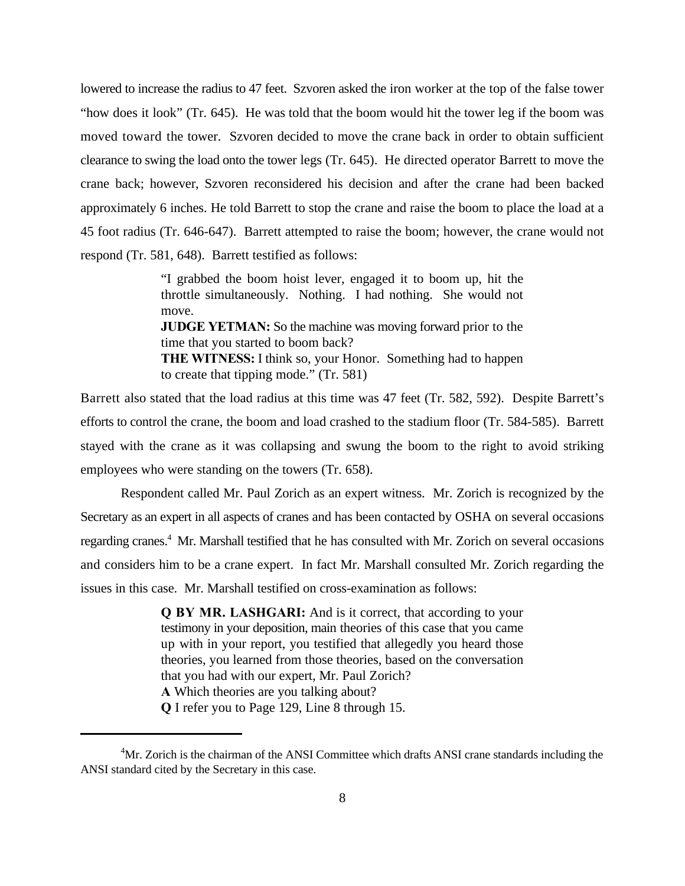lowered to increase the radius to 47 feet. Szvoren asked the iron worker at the top of the false tower "how does it look" (Tr. 645). He was told that the boom would hit the tower leg if the boom was moved toward the tower. Szvoren decided to move the crane back in order to obtain sufficient clearance to swing the load onto the tower legs (Tr. 645). He directed operator Barrett to move the crane back; however, Szvoren reconsidered his decision and after the crane had been backed approximately 6 inches. He told Barrett to stop the crane and raise the boom to place the load at a 45 foot radius (Tr. 646-647). Barrett attempted to raise the boom; however, the crane would not respond (Tr. 581, 648). Barrett testified as follows:

> "I grabbed the boom hoist lever, engaged it to boom up, hit the throttle simultaneously. Nothing. I had nothing. She would not move. **JUDGE YETMAN:** So the machine was moving forward prior to the time that you started to boom back? **THE WITNESS:** I think so, your Honor. Something had to happen to create that tipping mode." (Tr. 581)

Barrett also stated that the load radius at this time was 47 feet (Tr. 582, 592). Despite Barrett's efforts to control the crane, the boom and load crashed to the stadium floor (Tr. 584-585). Barrett stayed with the crane as it was collapsing and swung the boom to the right to avoid striking employees who were standing on the towers (Tr. 658).

Respondent called Mr. Paul Zorich as an expert witness. Mr. Zorich is recognized by the Secretary as an expert in all aspects of cranes and has been contacted by OSHA on several occasions regarding cranes.<sup>4</sup> Mr. Marshall testified that he has consulted with Mr. Zorich on several occasions and considers him to be a crane expert. In fact Mr. Marshall consulted Mr. Zorich regarding the issues in this case. Mr. Marshall testified on cross-examination as follows:

> **Q BY MR. LASHGARI:** And is it correct, that according to your testimony in your deposition, main theories of this case that you came up with in your report, you testified that allegedly you heard those theories, you learned from those theories, based on the conversation that you had with our expert, Mr. Paul Zorich? **A** Which theories are you talking about? **Q** I refer you to Page 129, Line 8 through 15.

 $<sup>4</sup>$ Mr. Zorich is the chairman of the ANSI Committee which drafts ANSI crane standards including the</sup> ANSI standard cited by the Secretary in this case.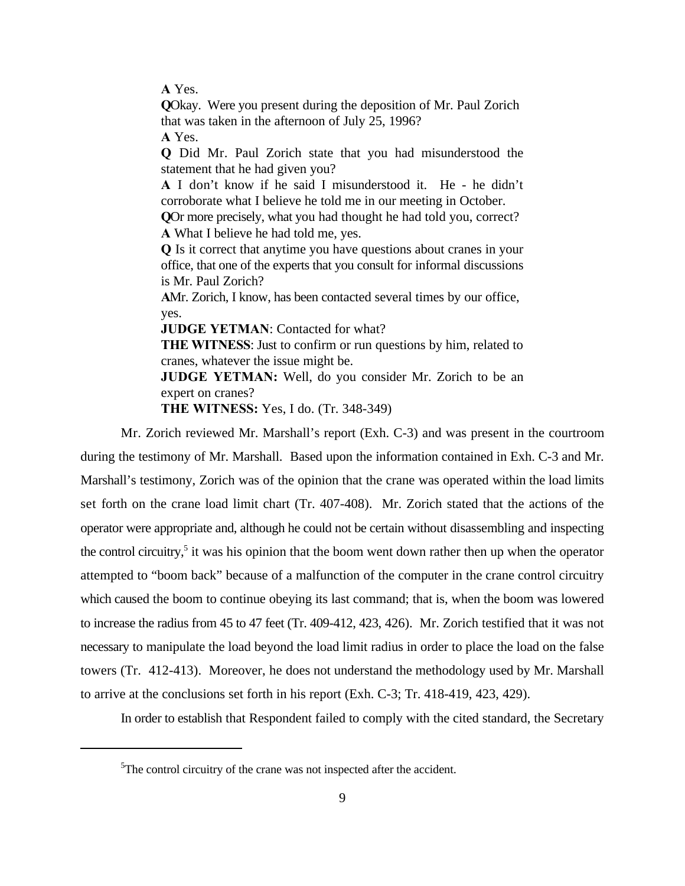**A** Yes.

**Q**Okay. Were you present during the deposition of Mr. Paul Zorich that was taken in the afternoon of July 25, 1996?

**A** Yes.

**Q** Did Mr. Paul Zorich state that you had misunderstood the statement that he had given you?

**A** I don't know if he said I misunderstood it. He - he didn't corroborate what I believe he told me in our meeting in October.

**Q**Or more precisely, what you had thought he had told you, correct? **A** What I believe he had told me, yes.

**Q** Is it correct that anytime you have questions about cranes in your office, that one of the experts that you consult for informal discussions is Mr. Paul Zorich?

**A**Mr. Zorich, I know, has been contacted several times by our office, yes.

**JUDGE YETMAN**: Contacted for what?

**THE WITNESS**: Just to confirm or run questions by him, related to cranes, whatever the issue might be.

**JUDGE YETMAN:** Well, do you consider Mr. Zorich to be an expert on cranes?

**THE WITNESS:** Yes, I do. (Tr. 348-349)

Mr. Zorich reviewed Mr. Marshall's report (Exh. C-3) and was present in the courtroom during the testimony of Mr. Marshall. Based upon the information contained in Exh. C-3 and Mr. Marshall's testimony, Zorich was of the opinion that the crane was operated within the load limits set forth on the crane load limit chart (Tr. 407-408). Mr. Zorich stated that the actions of the operator were appropriate and, although he could not be certain without disassembling and inspecting the control circuitry,<sup>5</sup> it was his opinion that the boom went down rather then up when the operator attempted to "boom back" because of a malfunction of the computer in the crane control circuitry which caused the boom to continue obeying its last command; that is, when the boom was lowered to increase the radius from 45 to 47 feet (Tr. 409-412, 423, 426). Mr. Zorich testified that it was not necessary to manipulate the load beyond the load limit radius in order to place the load on the false towers (Tr. 412-413). Moreover, he does not understand the methodology used by Mr. Marshall to arrive at the conclusions set forth in his report (Exh. C-3; Tr. 418-419, 423, 429).

In order to establish that Respondent failed to comply with the cited standard, the Secretary

 $5$ The control circuitry of the crane was not inspected after the accident.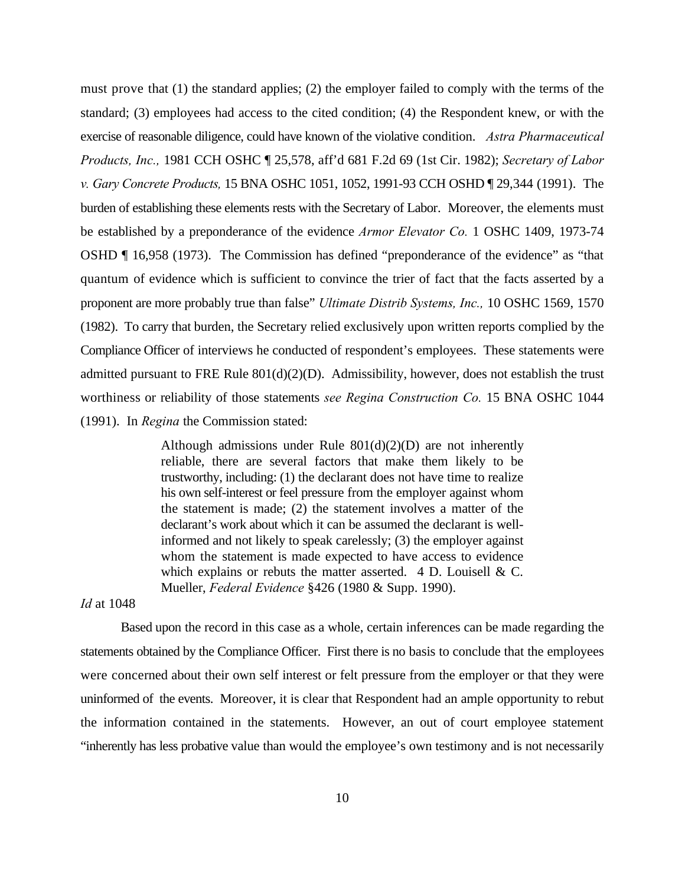must prove that (1) the standard applies; (2) the employer failed to comply with the terms of the standard; (3) employees had access to the cited condition; (4) the Respondent knew, or with the exercise of reasonable diligence, could have known of the violative condition. *Astra Pharmaceutical Products, Inc.,* 1981 CCH OSHC ¶ 25,578, aff'd 681 F.2d 69 (1st Cir. 1982); *Secretary of Labor v. Gary Concrete Products,* 15 BNA OSHC 1051, 1052, 1991-93 CCH OSHD ¶ 29,344 (1991). The burden of establishing these elements rests with the Secretary of Labor. Moreover, the elements must be established by a preponderance of the evidence *Armor Elevator Co.* 1 OSHC 1409, 1973-74 OSHD ¶ 16,958 (1973). The Commission has defined "preponderance of the evidence" as "that quantum of evidence which is sufficient to convince the trier of fact that the facts asserted by a proponent are more probably true than false" *Ultimate Distrib Systems, Inc.,* 10 OSHC 1569, 1570 (1982). To carry that burden, the Secretary relied exclusively upon written reports complied by the Compliance Officer of interviews he conducted of respondent's employees. These statements were admitted pursuant to FRE Rule 801(d)(2)(D). Admissibility, however, does not establish the trust worthiness or reliability of those statements *see Regina Construction Co.* 15 BNA OSHC 1044 (1991). In *Regina* the Commission stated:

> Although admissions under Rule  $801(d)(2)(D)$  are not inherently reliable, there are several factors that make them likely to be trustworthy, including: (1) the declarant does not have time to realize his own self-interest or feel pressure from the employer against whom the statement is made; (2) the statement involves a matter of the declarant's work about which it can be assumed the declarant is wellinformed and not likely to speak carelessly; (3) the employer against whom the statement is made expected to have access to evidence which explains or rebuts the matter asserted.  $4$  D. Louisell & C. Mueller, *Federal Evidence* §426 (1980 & Supp. 1990).

*Id* at 1048

Based upon the record in this case as a whole, certain inferences can be made regarding the statements obtained by the Compliance Officer. First there is no basis to conclude that the employees were concerned about their own self interest or felt pressure from the employer or that they were uninformed of the events. Moreover, it is clear that Respondent had an ample opportunity to rebut the information contained in the statements. However, an out of court employee statement "inherently has less probative value than would the employee's own testimony and is not necessarily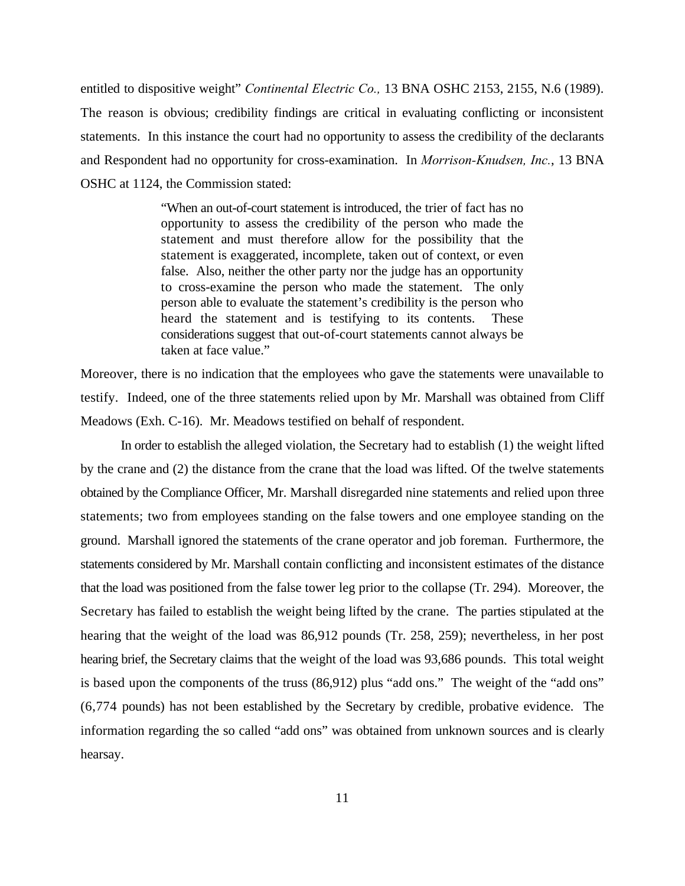entitled to dispositive weight" *Continental Electric Co.,* 13 BNA OSHC 2153, 2155, N.6 (1989). The reason is obvious; credibility findings are critical in evaluating conflicting or inconsistent statements. In this instance the court had no opportunity to assess the credibility of the declarants and Respondent had no opportunity for cross-examination. In *Morrison-Knudsen, Inc.*, 13 BNA OSHC at 1124, the Commission stated:

> "When an out-of-court statement is introduced, the trier of fact has no opportunity to assess the credibility of the person who made the statement and must therefore allow for the possibility that the statement is exaggerated, incomplete, taken out of context, or even false. Also, neither the other party nor the judge has an opportunity to cross-examine the person who made the statement. The only person able to evaluate the statement's credibility is the person who heard the statement and is testifying to its contents. These considerations suggest that out-of-court statements cannot always be taken at face value."

Moreover, there is no indication that the employees who gave the statements were unavailable to testify. Indeed, one of the three statements relied upon by Mr. Marshall was obtained from Cliff Meadows (Exh. C-16). Mr. Meadows testified on behalf of respondent.

In order to establish the alleged violation, the Secretary had to establish (1) the weight lifted by the crane and (2) the distance from the crane that the load was lifted. Of the twelve statements obtained by the Compliance Officer, Mr. Marshall disregarded nine statements and relied upon three statements; two from employees standing on the false towers and one employee standing on the ground. Marshall ignored the statements of the crane operator and job foreman. Furthermore, the statements considered by Mr. Marshall contain conflicting and inconsistent estimates of the distance that the load was positioned from the false tower leg prior to the collapse (Tr. 294). Moreover, the Secretary has failed to establish the weight being lifted by the crane. The parties stipulated at the hearing that the weight of the load was 86,912 pounds (Tr. 258, 259); nevertheless, in her post hearing brief, the Secretary claims that the weight of the load was 93,686 pounds. This total weight is based upon the components of the truss (86,912) plus "add ons." The weight of the "add ons" (6,774 pounds) has not been established by the Secretary by credible, probative evidence. The information regarding the so called "add ons" was obtained from unknown sources and is clearly hearsay.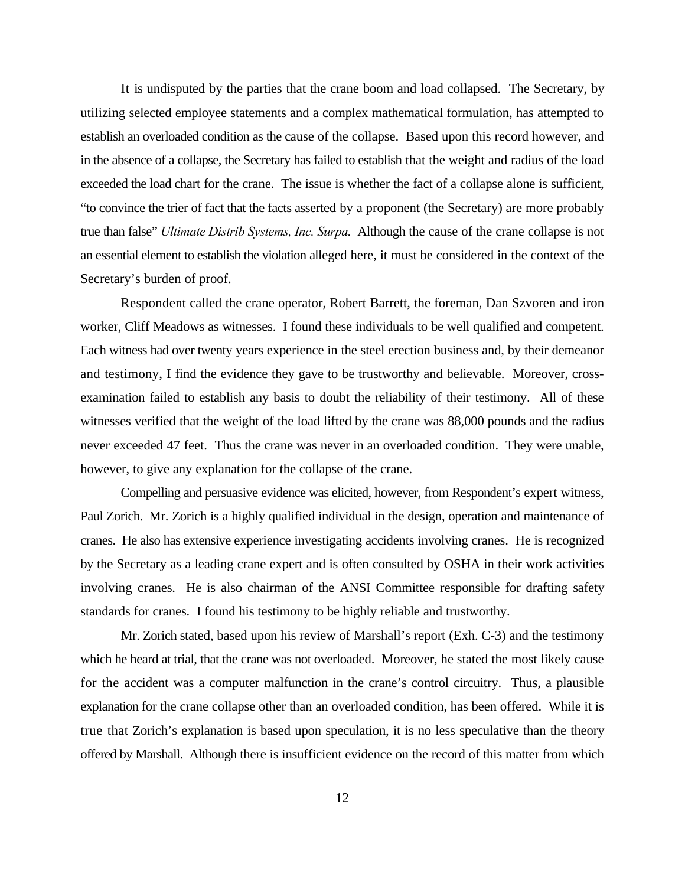It is undisputed by the parties that the crane boom and load collapsed. The Secretary, by utilizing selected employee statements and a complex mathematical formulation, has attempted to establish an overloaded condition as the cause of the collapse. Based upon this record however, and in the absence of a collapse, the Secretary has failed to establish that the weight and radius of the load exceeded the load chart for the crane. The issue is whether the fact of a collapse alone is sufficient, "to convince the trier of fact that the facts asserted by a proponent (the Secretary) are more probably true than false" *Ultimate Distrib Systems, Inc. Surpa.* Although the cause of the crane collapse is not an essential element to establish the violation alleged here, it must be considered in the context of the Secretary's burden of proof.

Respondent called the crane operator, Robert Barrett, the foreman, Dan Szvoren and iron worker, Cliff Meadows as witnesses. I found these individuals to be well qualified and competent. Each witness had over twenty years experience in the steel erection business and, by their demeanor and testimony, I find the evidence they gave to be trustworthy and believable. Moreover, crossexamination failed to establish any basis to doubt the reliability of their testimony. All of these witnesses verified that the weight of the load lifted by the crane was 88,000 pounds and the radius never exceeded 47 feet. Thus the crane was never in an overloaded condition. They were unable, however, to give any explanation for the collapse of the crane.

Compelling and persuasive evidence was elicited, however, from Respondent's expert witness, Paul Zorich. Mr. Zorich is a highly qualified individual in the design, operation and maintenance of cranes. He also has extensive experience investigating accidents involving cranes. He is recognized by the Secretary as a leading crane expert and is often consulted by OSHA in their work activities involving cranes. He is also chairman of the ANSI Committee responsible for drafting safety standards for cranes. I found his testimony to be highly reliable and trustworthy.

Mr. Zorich stated, based upon his review of Marshall's report (Exh. C-3) and the testimony which he heard at trial, that the crane was not overloaded. Moreover, he stated the most likely cause for the accident was a computer malfunction in the crane's control circuitry. Thus, a plausible explanation for the crane collapse other than an overloaded condition, has been offered. While it is true that Zorich's explanation is based upon speculation, it is no less speculative than the theory offered by Marshall. Although there is insufficient evidence on the record of this matter from which